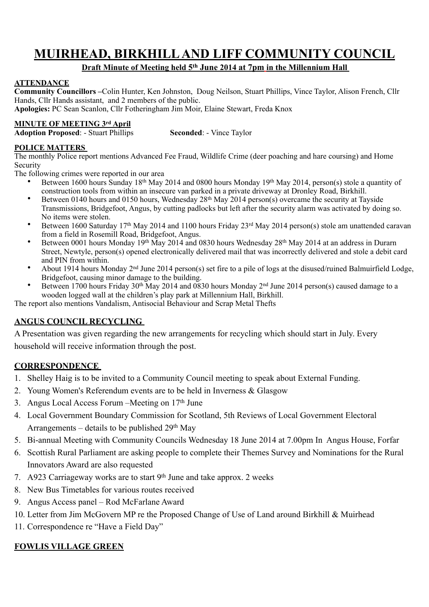# **MUIRHEAD, BIRKHILL AND LIFF COMMUNITY COUNCIL**

## **Draft Minute of Meeting held 5th June 2014 at 7pm in the Millennium Hall**

#### **ATTENDANCE**

**Community Councillors –**Colin Hunter, Ken Johnston, Doug Neilson, Stuart Phillips, Vince Taylor, Alison French, Cllr Hands, Cllr Hands assistant, and 2 members of the public.

**Apologies:** PC Sean Scanlon, Cllr Fotheringham Jim Moir, Elaine Stewart, Freda Knox

#### **MINUTE OF MEETING 3rd April**

**Adoption Proposed: - Stuart Phillips <b>Seconded: - Vince Taylor** 

#### **POLICE MATTERS**

The monthly Police report mentions Advanced Fee Fraud, Wildlife Crime (deer poaching and hare coursing) and Home Security

The following crimes were reported in our area

- Between 1600 hours Sunday 18th May 2014 and 0800 hours Monday 19th May 2014, person(s) stole a quantity of construction tools from within an insecure van parked in a private driveway at Dronley Road, Birkhill.
- Between 0140 hours and 0150 hours, Wednesday 28<sup>th</sup> May 2014 person(s) overcame the security at Tayside Transmissions, Bridgefoot, Angus, by cutting padlocks but left after the security alarm was activated by doing so. No items were stolen.
- Between 1600 Saturday 17th May 2014 and 1100 hours Friday 23rd May 2014 person(s) stole am unattended caravan from a field in Rosemill Road, Bridgefoot, Angus.
- Between 0001 hours Monday 19th May 2014 and 0830 hours Wednesday 28th May 2014 at an address in Durarn Street, Newtyle, person(s) opened electronically delivered mail that was incorrectly delivered and stole a debit card and PIN from within.
- About 1914 hours Monday  $2<sup>nd</sup>$  June 2014 person(s) set fire to a pile of logs at the disused/ruined Balmuirfield Lodge. Bridgefoot, causing minor damage to the building.
- Between 1700 hours Friday 30<sup>th</sup> May 2014 and 0830 hours Monday 2<sup>nd</sup> June 2014 person(s) caused damage to a wooden logged wall at the children's play park at Millennium Hall, Birkhill.

The report also mentions Vandalism, Antisocial Behaviour and Scrap Metal Thefts

#### **ANGUS COUNCIL RECYCLING**

A Presentation was given regarding the new arrangements for recycling which should start in July. Every household will receive information through the post.

#### **CORRESPONDENCE**

- 1. Shelley Haig is to be invited to a Community Council meeting to speak about External Funding.
- 2. Young Women's Referendum events are to be held in Inverness & Glasgow
- 3. Angus Local Access Forum Meeting on  $17<sup>th</sup>$  June
- 4. Local Government Boundary Commission for Scotland, 5th Reviews of Local Government Electoral Arrangements – details to be published  $29<sup>th</sup>$  May
- 5. Bi-annual Meeting with Community Councils Wednesday 18 June 2014 at 7.00pm In Angus House, Forfar
- 6. Scottish Rural Parliament are asking people to complete their Themes Survey and Nominations for the Rural Innovators Award are also requested
- 7. A923 Carriageway works are to start  $9<sup>th</sup>$  June and take approx. 2 weeks
- 8. New Bus Timetables for various routes received
- 9. Angus Access panel Rod McFarlane Award
- 10. Letter from Jim McGovern MP re the Proposed Change of Use of Land around Birkhill & Muirhead
- 11. Correspondence re "Have a Field Day"

## **FOWLIS VILLAGE GREEN**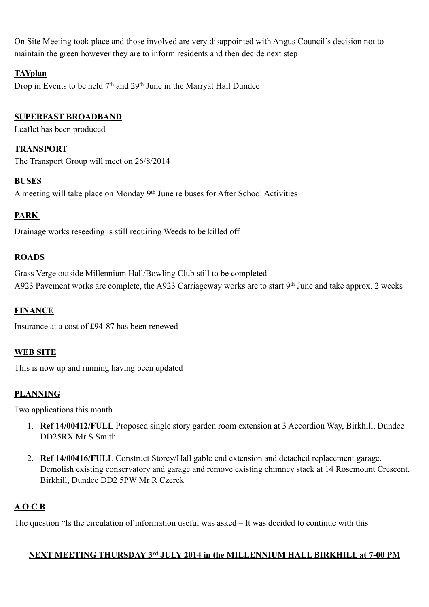On Site Meeting took place and those involved are very disappointed with Angus Council's decision not to maintain the green however they are to inform residents and then decide next step

# **TAYplan**

Drop in Events to be held  $7<sup>th</sup>$  and  $29<sup>th</sup>$  June in the Marryat Hall Dundee

## **SUPERFAST BROADBAND**

Leaflet has been produced

### **TRANSPORT**

The Transport Group will meet on 26/8/2014

#### **BUSES**

A meeting will take place on Monday 9<sup>th</sup> June re buses for After School Activities

## **PARK**

Drainage works reseeding is still requiring Weeds to be killed off

## **ROADS**

Grass Verge outside Millennium Hall/Bowling Club still to be completed A923 Pavement works are complete, the A923 Carriageway works are to start 9<sup>th</sup> June and take approx. 2 weeks

## **FINANCE**

Insurance at a cost of £94-87 has been renewed

#### **WEB SITE**

This is now up and running having been updated

## **PLANNING**

Two applications this month

- 1. **Ref 14/00412/FULL** Proposed single story garden room extension at 3 Accordion Way, Birkhill, Dundee DD25RX Mr S Smith.
- 2. **Ref 14/00416/FULL** Construct Storey/Hall gable end extension and detached replacement garage. Demolish existing conservatory and garage and remove existing chimney stack at 14 Rosemount Crescent, Birkhill, Dundee DD2 5PW Mr R Czerek

## **A O C B**

The question "Is the circulation of information useful was asked – It was decided to continue with this

#### **NEXT MEETING THURSDAY 3rd JULY 2014 in the MILLENNIUM HALL BIRKHILL at 7-00 PM**